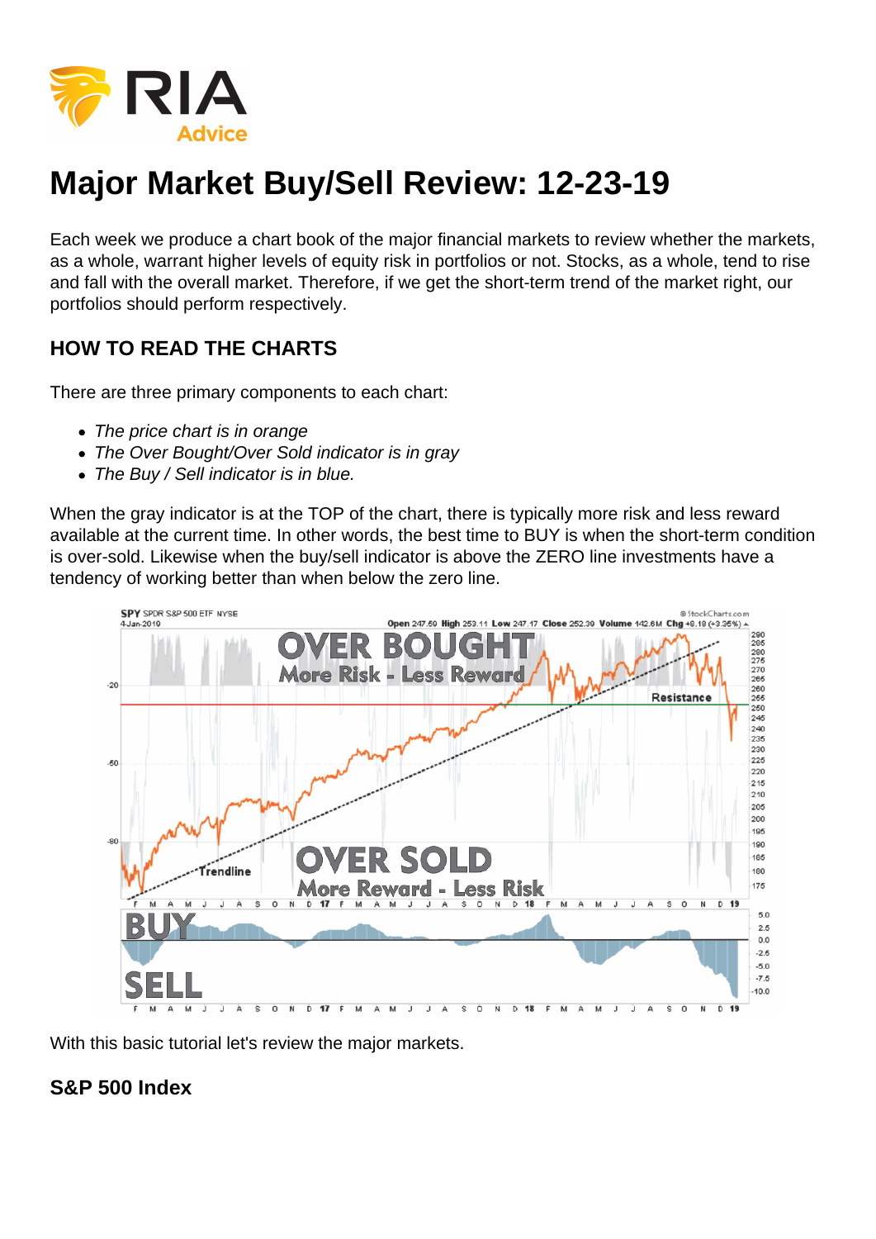

## **Major Market Buy/Sell Review: 12-23-19**

Each week we produce a chart book of the major financial markets to review whether the markets, as a whole, warrant higher levels of equity risk in portfolios or not. Stocks, as a whole, tend to rise and fall with the overall market. Therefore, if we get the short-term trend of the market right, our portfolios should perform respectively.

## **HOW TO READ THE CHARTS**

There are three primary components to each chart:

- The price chart is in orange
- The Over Bought/Over Sold indicator is in gray
- The Buy / Sell indicator is in blue.

When the gray indicator is at the TOP of the chart, there is typically more risk and less reward available at the current time. In other words, the best time to BUY is when the short-term condition is over-sold. Likewise when the buy/sell indicator is above the ZERO line investments have a tendency of working better than when below the zero line.



With this basic tutorial let's review the major markets.

## **S&P 500 Index**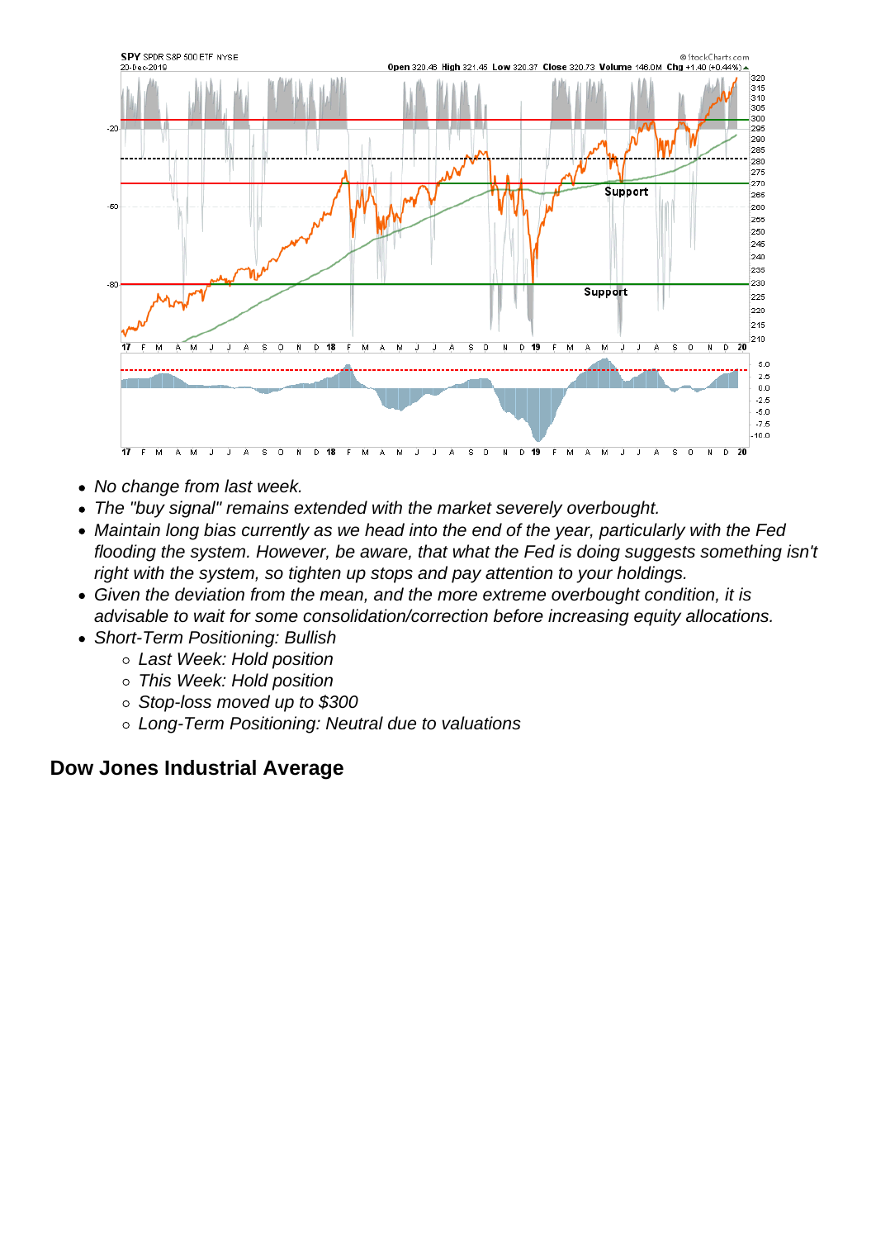- No change from last week.
- The "buy signal" remains extended with the market severely overbought.
- Maintain long bias currently as we head into the end of the year, particularly with the Fed flooding the system. However, be aware, that what the Fed is doing suggests something isn't right with the system, so tighten up stops and pay attention to your holdings.
- Given the deviation from the mean, and the more extreme overbought condition, it is advisable to wait for some consolidation/correction before increasing equity allocations.
- Short-Term Positioning: Bullish
	- Last Week: Hold position
	- This Week: Hold position
	- o Stop-loss moved up to \$300
	- Long-Term Positioning: Neutral due to valuations

Dow Jones Industrial Average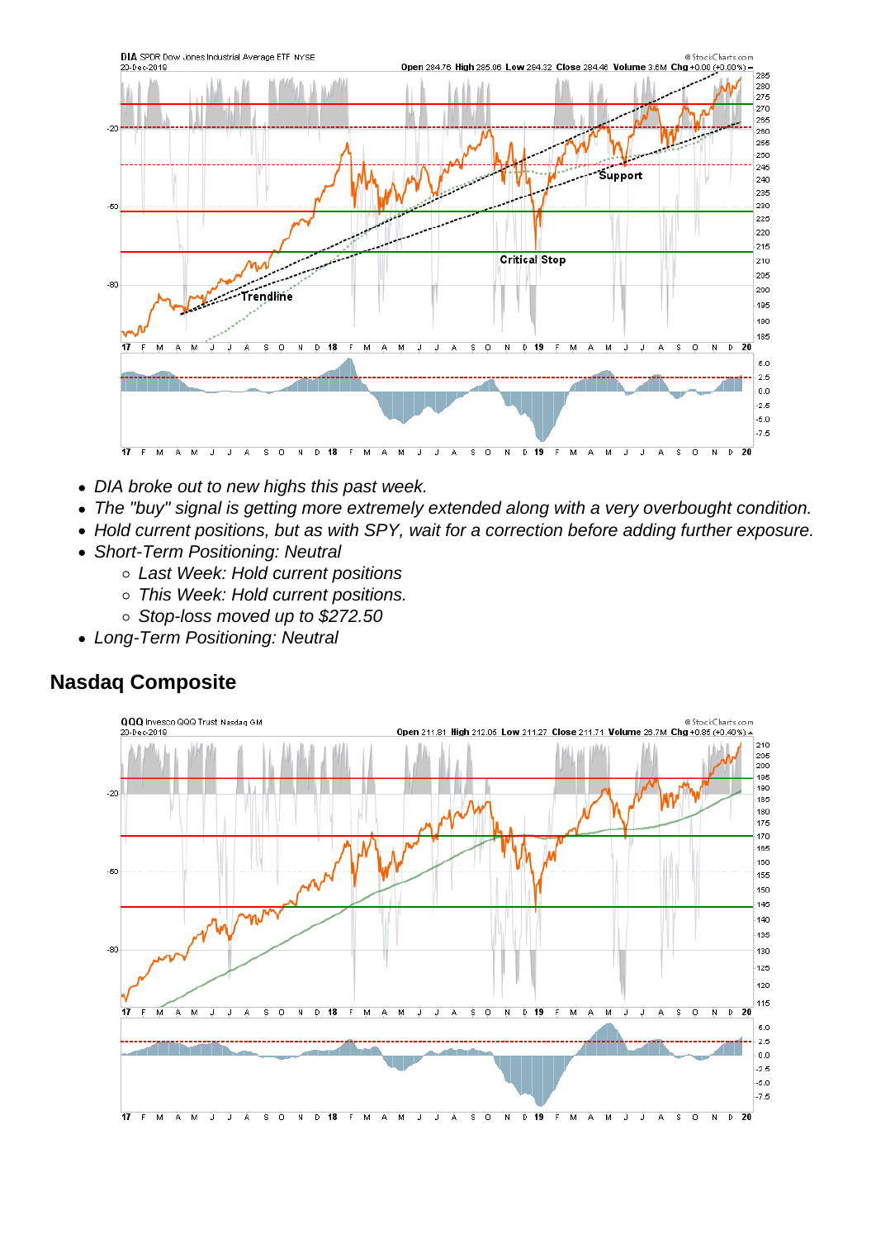- DIA broke out to new highs this past week.
- The "buy" signal is getting more extremely extended along with a very overbought condition.
- Hold current positions, but as with SPY, wait for a correction before adding further exposure.
- Short-Term Positioning: Neutral
	- Last Week: Hold current positions
	- o This Week: Hold current positions.
	- Stop-loss moved up to \$272.50
- Long-Term Positioning: Neutral

Nasdaq Composite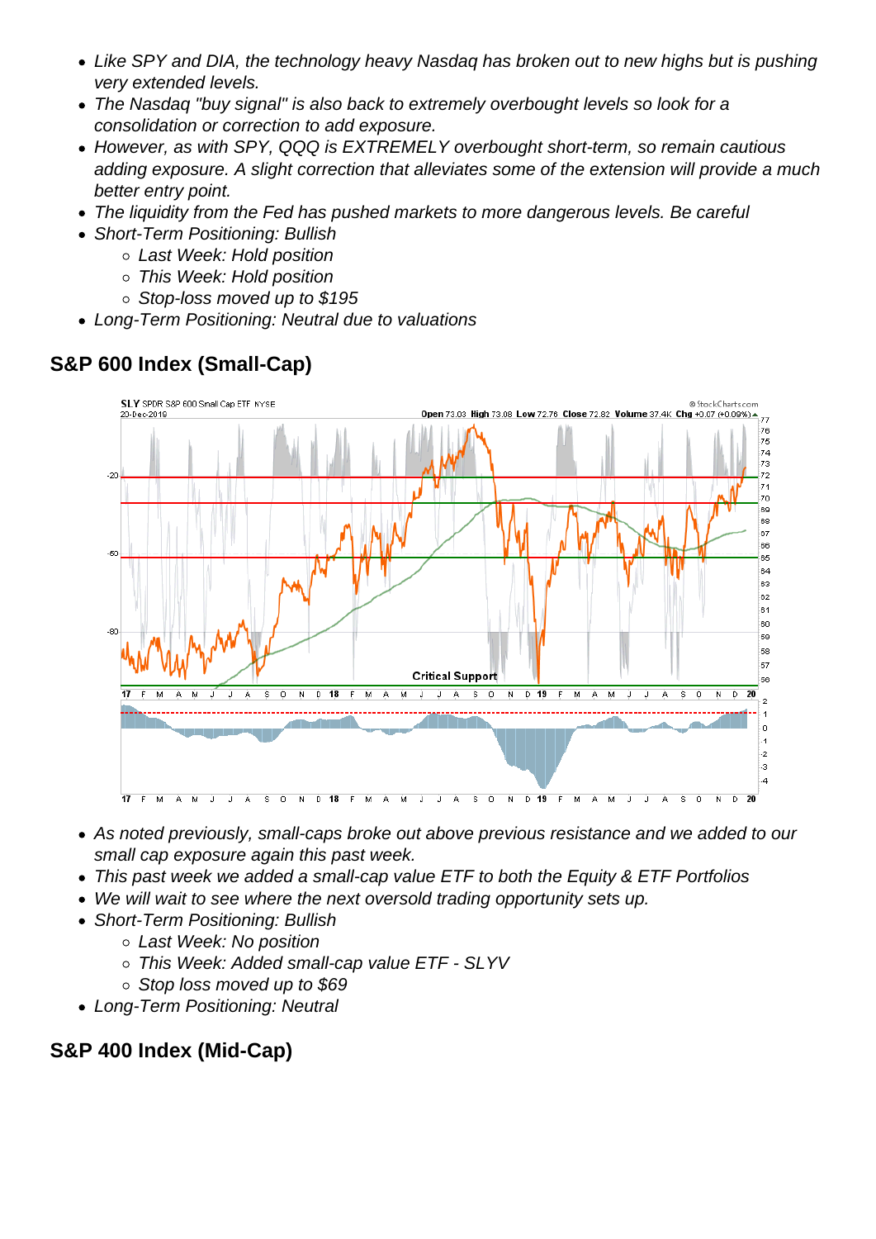- Like SPY and DIA, the technology heavy Nasdaq has broken out to new highs but is pushing very extended levels.
- The Nasdaq "buy signal" is also back to extremely overbought levels so look for a consolidation or correction to add exposure.
- However, as with SPY, QQQ is EXTREMELY overbought short-term, so remain cautious adding exposure. A slight correction that alleviates some of the extension will provide a much better entry point.
- The liquidity from the Fed has pushed markets to more dangerous levels. Be careful
- Short-Term Positioning: Bullish
	- Last Week: Hold position
	- This Week: Hold position
	- Stop-loss moved up to \$195
- Long-Term Positioning: Neutral due to valuations

S&P 600 Index (Small-Cap)

- As noted previously, small-caps broke out above previous resistance and we added to our small cap exposure again this past week.
- This past week we added a small-cap value ETF to both the Equity & ETF Portfolios
- We will wait to see where the next oversold trading opportunity sets up.
- Short-Term Positioning: Bullish
	- Last Week: No position
	- o This Week: Added small-cap value ETF SLYV
	- Stop loss moved up to \$69
- Long-Term Positioning: Neutral

S&P 400 Index (Mid-Cap)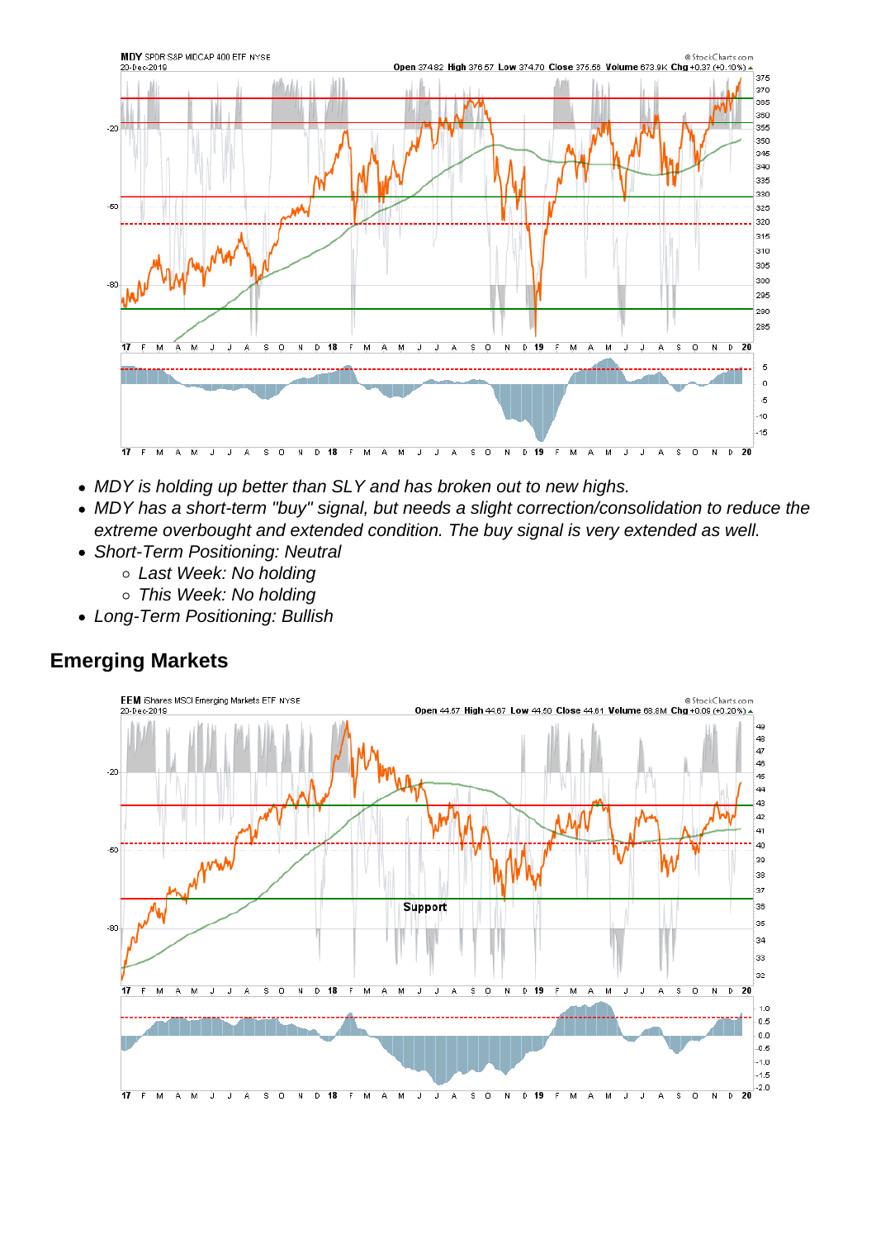- MDY is holding up better than SLY and has broken out to new highs.
- MDY has a short-term "buy" signal, but needs a slight correction/consolidation to reduce the extreme overbought and extended condition. The buy signal is very extended as well.
- Short-Term Positioning: Neutral
	- Last Week: No holding
	- This Week: No holding
- Long-Term Positioning: Bullish

Emerging Markets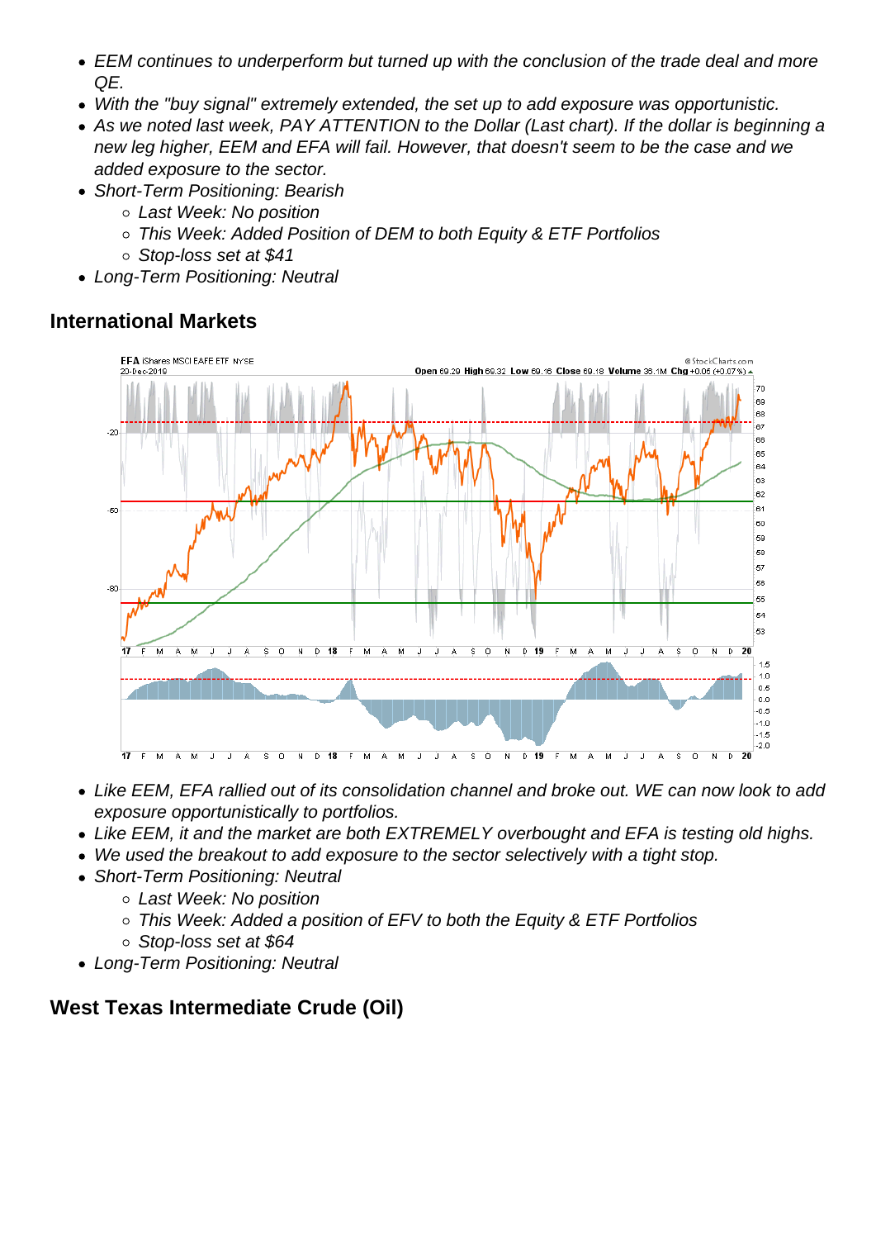- EEM continues to underperform but turned up with the conclusion of the trade deal and more QE.
- With the "buy signal" extremely extended, the set up to add exposure was opportunistic.
- As we noted last week, PAY ATTENTION to the Dollar (Last chart). If the dollar is beginning a new leg higher, EEM and EFA will fail. However, that doesn't seem to be the case and we added exposure to the sector.
- Short-Term Positioning: Bearish
	- Last Week: No position
	- This Week: Added Position of DEM to both Equity & ETF Portfolios
	- Stop-loss set at \$41
- Long-Term Positioning: Neutral

International Markets

- Like EEM, EFA rallied out of its consolidation channel and broke out. WE can now look to add exposure opportunistically to portfolios.
- Like EEM, it and the market are both EXTREMELY overbought and EFA is testing old highs.
- We used the breakout to add exposure to the sector selectively with a tight stop.
- Short-Term Positioning: Neutral
	- Last Week: No position
	- This Week: Added a position of EFV to both the Equity & ETF Portfolios
	- Stop-loss set at \$64
- Long-Term Positioning: Neutral

West Texas Intermediate Crude (Oil)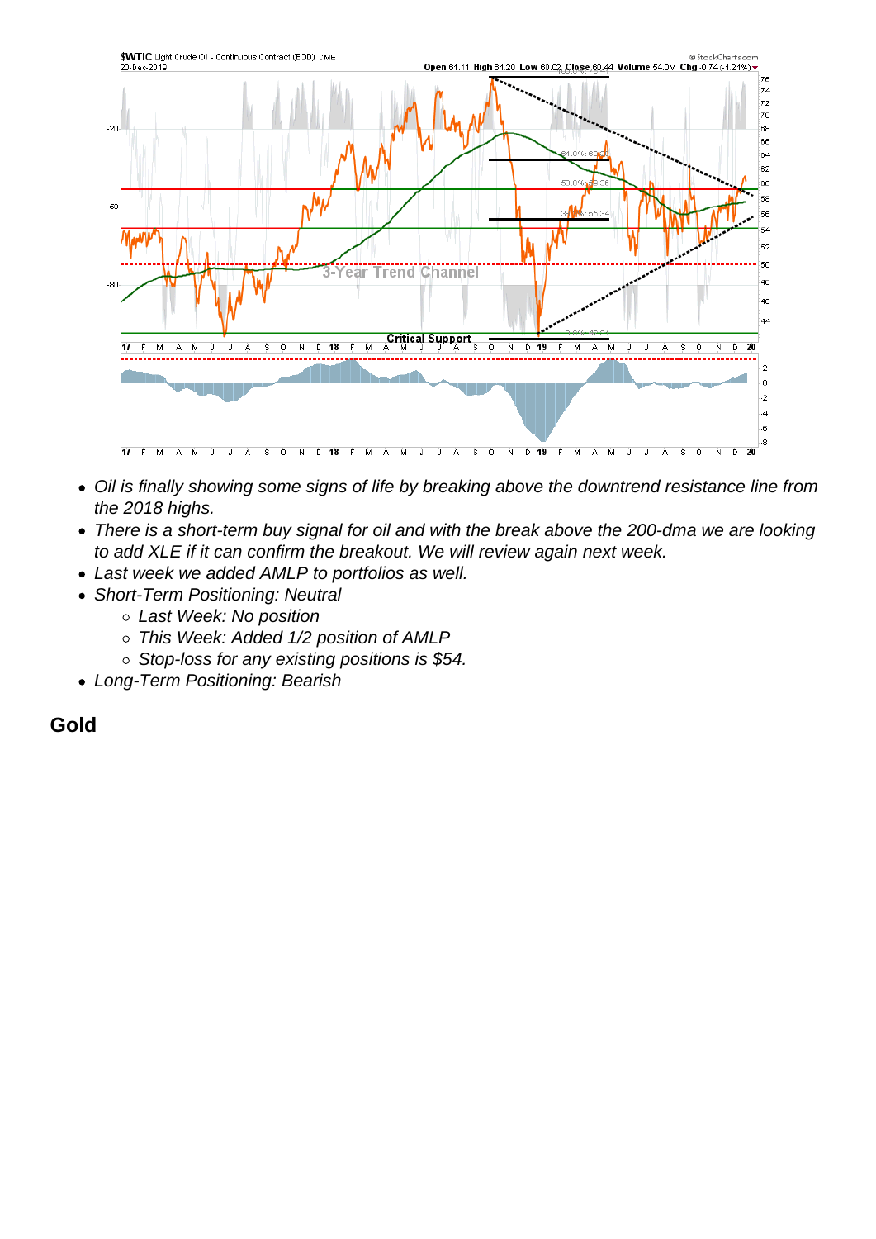- Oil is finally showing some signs of life by breaking above the downtrend resistance line from the 2018 highs.
- There is a short-term buy signal for oil and with the break above the 200-dma we are looking to add XLE if it can confirm the breakout. We will review again next week.
- Last week we added AMLP to portfolios as well.
- Short-Term Positioning: Neutral
	- Last Week: No position
	- This Week: Added 1/2 position of AMLP
	- o Stop-loss for any existing positions is \$54.
- Long-Term Positioning: Bearish

## **Gold**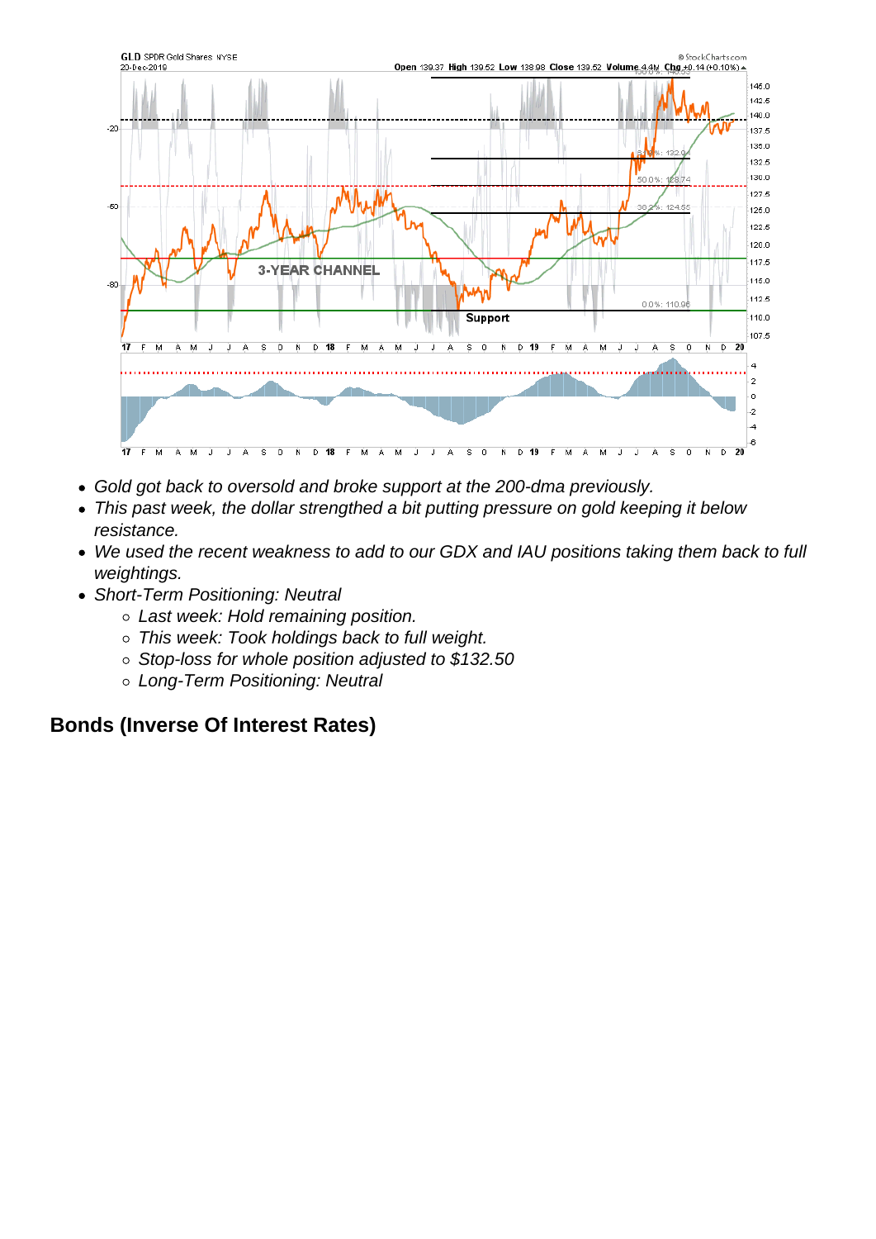- Gold got back to oversold and broke support at the 200-dma previously.
- This past week, the dollar strengthed a bit putting pressure on gold keeping it below resistance.
- We used the recent weakness to add to our GDX and IAU positions taking them back to full weightings.
- Short-Term Positioning: Neutral
	- Last week: Hold remaining position.
	- This week: Took holdings back to full weight.
	- o Stop-loss for whole position adjusted to \$132.50
	- o Long-Term Positioning: Neutral

Bonds (Inverse Of Interest Rates)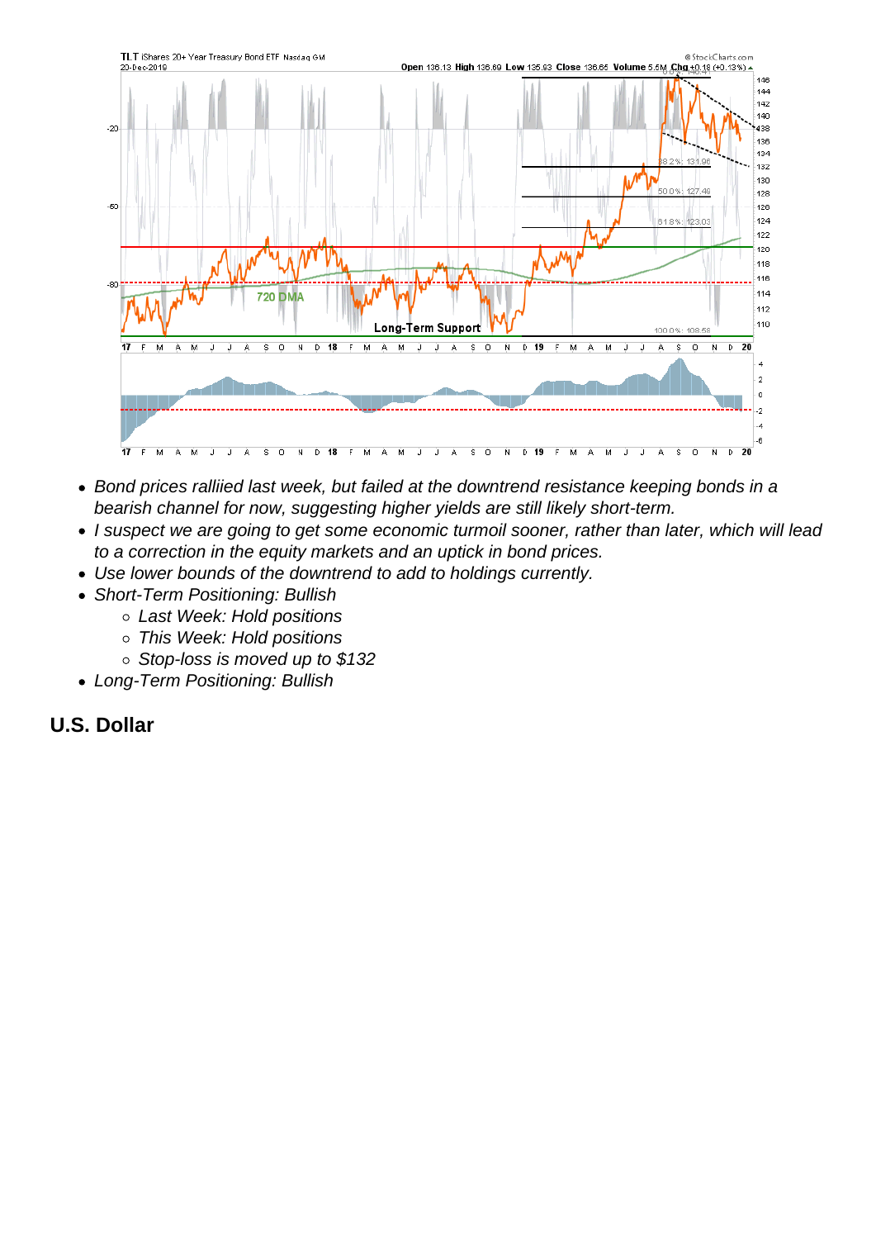- Bond prices ralliied last week, but failed at the downtrend resistance keeping bonds in a bearish channel for now, suggesting higher yields are still likely short-term.
- I suspect we are going to get some economic turmoil sooner, rather than later, which will lead to a correction in the equity markets and an uptick in bond prices.
- Use lower bounds of the downtrend to add to holdings currently.
- Short-Term Positioning: Bullish
	- Last Week: Hold positions
	- This Week: Hold positions
	- o Stop-loss is moved up to \$132
- Long-Term Positioning: Bullish
- U.S. Dollar